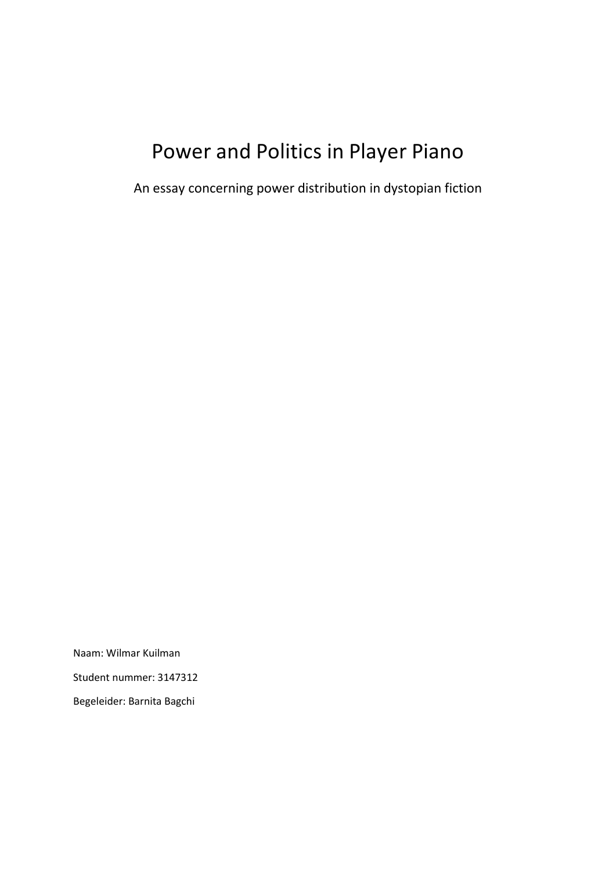# Power and Politics in Player Piano

An essay concerning power distribution in dystopian fiction

Naam: Wilmar Kuilman Student nummer: 3147312 Begeleider: Barnita Bagchi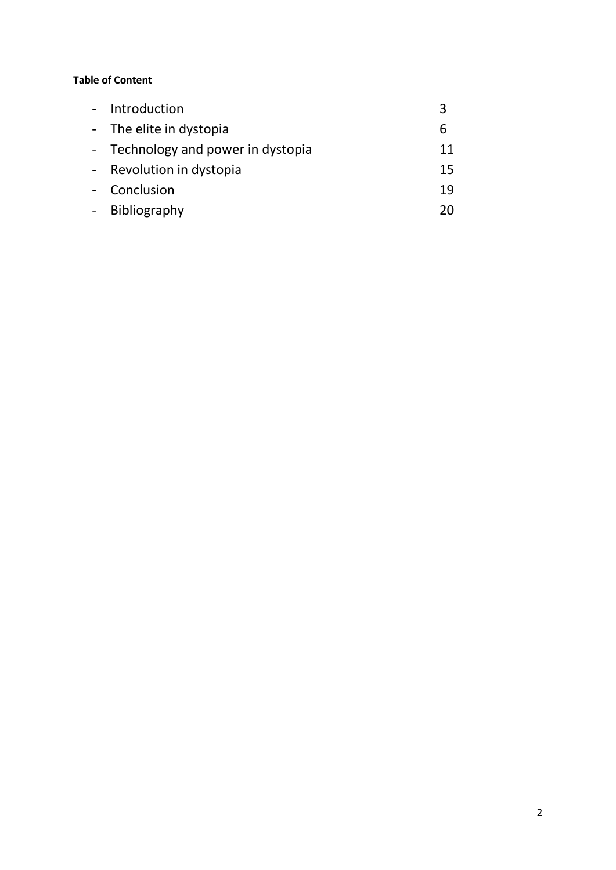# **Table of Content**

| Introduction                       |    |
|------------------------------------|----|
| - The elite in dystopia            |    |
| - Technology and power in dystopia | 11 |
| - Revolution in dystopia           | 15 |
| Conclusion                         | 19 |
| - Bibliography                     |    |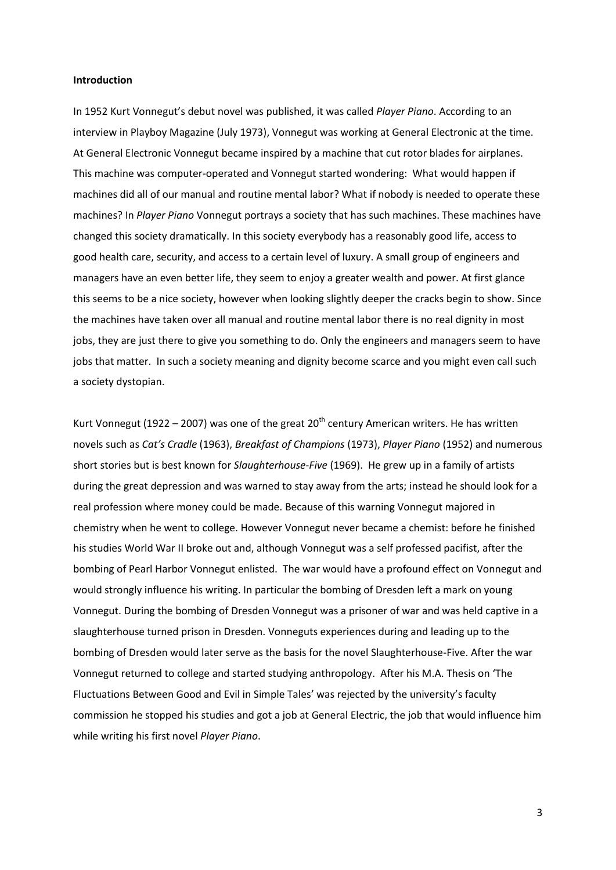## **Introduction**

In 1952 Kurt Vonnegut's debut novel was published, it was called *Player Piano*. According to an interview in Playboy Magazine (July 1973), Vonnegut was working at General Electronic at the time. At General Electronic Vonnegut became inspired by a machine that cut rotor blades for airplanes. This machine was computer-operated and Vonnegut started wondering: What would happen if machines did all of our manual and routine mental labor? What if nobody is needed to operate these machines? In *Player Piano* Vonnegut portrays a society that has such machines. These machines have changed this society dramatically. In this society everybody has a reasonably good life, access to good health care, security, and access to a certain level of luxury. A small group of engineers and managers have an even better life, they seem to enjoy a greater wealth and power. At first glance this seems to be a nice society, however when looking slightly deeper the cracks begin to show. Since the machines have taken over all manual and routine mental labor there is no real dignity in most jobs, they are just there to give you something to do. Only the engineers and managers seem to have jobs that matter. In such a society meaning and dignity become scarce and you might even call such a society dystopian.

Kurt Vonnegut (1922 – 2007) was one of the great 20<sup>th</sup> century American writers. He has written novels such as *Cat's Cradle* (1963), *Breakfast of Champions* (1973), *Player Piano* (1952) and numerous short stories but is best known for *Slaughterhouse-Five* (1969). He grew up in a family of artists during the great depression and was warned to stay away from the arts; instead he should look for a real profession where money could be made. Because of this warning Vonnegut majored in chemistry when he went to college. However Vonnegut never became a chemist: before he finished his studies World War II broke out and, although Vonnegut was a self professed pacifist, after the bombing of Pearl Harbor Vonnegut enlisted. The war would have a profound effect on Vonnegut and would strongly influence his writing. In particular the bombing of Dresden left a mark on young Vonnegut. During the bombing of Dresden Vonnegut was a prisoner of war and was held captive in a slaughterhouse turned prison in Dresden. Vonneguts experiences during and leading up to the bombing of Dresden would later serve as the basis for the novel Slaughterhouse-Five. After the war Vonnegut returned to college and started studying anthropology. After his M.A. Thesis on 'The Fluctuations Between Good and Evil in Simple Tales' was rejected by the university's faculty commission he stopped his studies and got a job at General Electric, the job that would influence him while writing his first novel *Player Piano*.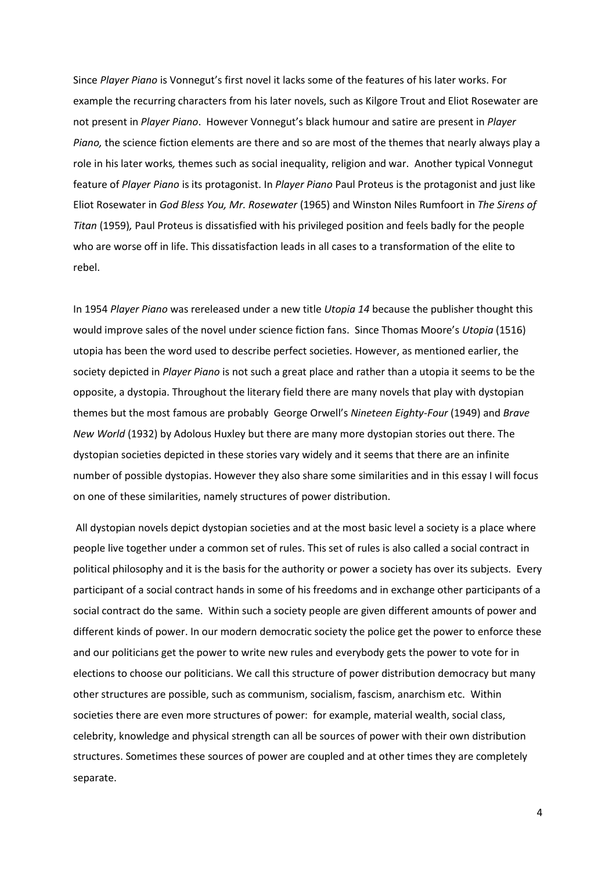Since *Player Piano* is Vonnegut's first novel it lacks some of the features of his later works. For example the recurring characters from his later novels, such as Kilgore Trout and Eliot Rosewater are not present in *Player Piano*. However Vonnegut's black humour and satire are present in *Player Piano,* the science fiction elements are there and so are most of the themes that nearly always play a role in his later works*,* themes such as social inequality, religion and war. Another typical Vonnegut feature of *Player Piano* is its protagonist. In *Player Piano* Paul Proteus is the protagonist and just like Eliot Rosewater in *God Bless You, Mr. Rosewater* (1965) and Winston Niles Rumfoort in *The Sirens of Titan* (1959)*,* Paul Proteus is dissatisfied with his privileged position and feels badly for the people who are worse off in life. This dissatisfaction leads in all cases to a transformation of the elite to rebel.

In 1954 *Player Piano* was rereleased under a new title *Utopia 14* because the publisher thought this would improve sales of the novel under science fiction fans. Since Thomas Moore's *Utopia* (1516) utopia has been the word used to describe perfect societies. However, as mentioned earlier, the society depicted in *Player Piano* is not such a great place and rather than a utopia it seems to be the opposite, a dystopia. Throughout the literary field there are many novels that play with dystopian themes but the most famous are probably George Orwell's *Nineteen Eighty-Four* (1949) and *Brave New World* (1932) by Adolous Huxley but there are many more dystopian stories out there. The dystopian societies depicted in these stories vary widely and it seems that there are an infinite number of possible dystopias. However they also share some similarities and in this essay I will focus on one of these similarities, namely structures of power distribution.

All dystopian novels depict dystopian societies and at the most basic level a society is a place where people live together under a common set of rules. This set of rules is also called a social contract in political philosophy and it is the basis for the authority or power a society has over its subjects. Every participant of a social contract hands in some of his freedoms and in exchange other participants of a social contract do the same. Within such a society people are given different amounts of power and different kinds of power. In our modern democratic society the police get the power to enforce these and our politicians get the power to write new rules and everybody gets the power to vote for in elections to choose our politicians. We call this structure of power distribution democracy but many other structures are possible, such as communism, socialism, fascism, anarchism etc. Within societies there are even more structures of power: for example, material wealth, social class, celebrity, knowledge and physical strength can all be sources of power with their own distribution structures. Sometimes these sources of power are coupled and at other times they are completely separate.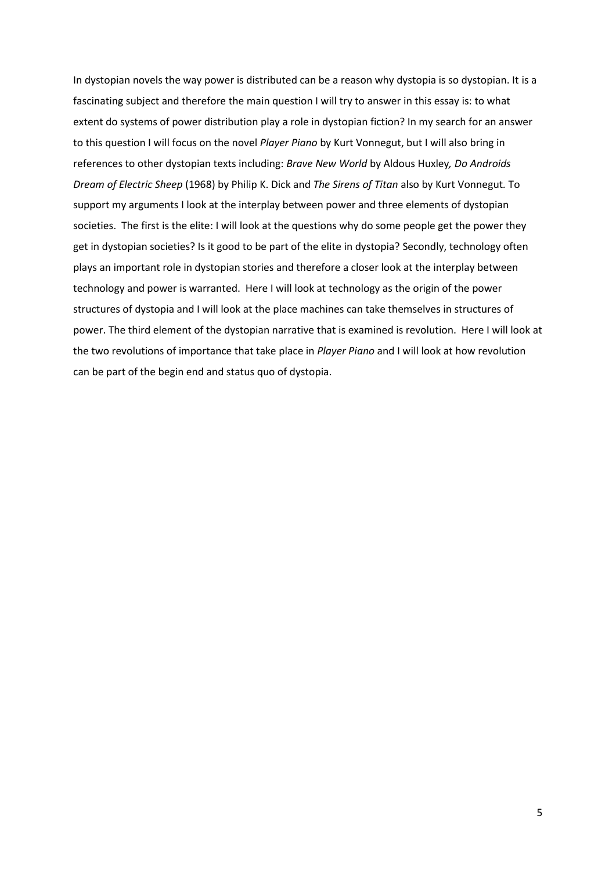In dystopian novels the way power is distributed can be a reason why dystopia is so dystopian. It is a fascinating subject and therefore the main question I will try to answer in this essay is: to what extent do systems of power distribution play a role in dystopian fiction? In my search for an answer to this question I will focus on the novel *Player Piano* by Kurt Vonnegut, but I will also bring in references to other dystopian texts including: *Brave New World* by Aldous Huxley*, Do Androids Dream of Electric Sheep* (1968) by Philip K. Dick and *The Sirens of Titan* also by Kurt Vonnegut*.* To support my arguments I look at the interplay between power and three elements of dystopian societies. The first is the elite: I will look at the questions why do some people get the power they get in dystopian societies? Is it good to be part of the elite in dystopia? Secondly, technology often plays an important role in dystopian stories and therefore a closer look at the interplay between technology and power is warranted. Here I will look at technology as the origin of the power structures of dystopia and I will look at the place machines can take themselves in structures of power. The third element of the dystopian narrative that is examined is revolution. Here I will look at the two revolutions of importance that take place in *Player Piano* and I will look at how revolution can be part of the begin end and status quo of dystopia.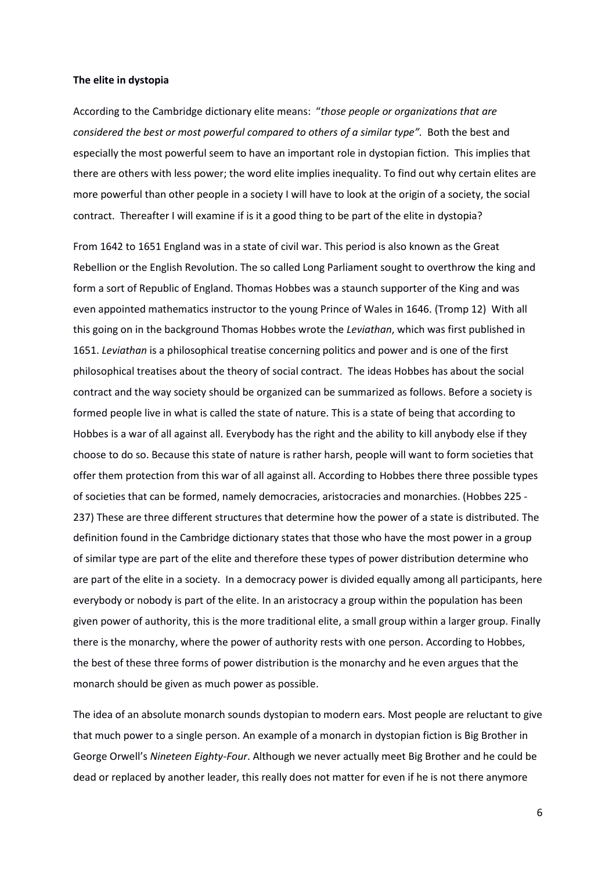#### **The elite in dystopia**

According to the Cambridge dictionary elite means: "*those people or organizations that are considered the best or most powerful compared to others of a similar type".* Both the best and especially the most powerful seem to have an important role in dystopian fiction. This implies that there are others with less power; the word elite implies inequality. To find out why certain elites are more powerful than other people in a society I will have to look at the origin of a society, the social contract. Thereafter I will examine if is it a good thing to be part of the elite in dystopia?

From 1642 to 1651 England was in a state of civil war. This period is also known as the Great Rebellion or the English Revolution. The so called Long Parliament sought to overthrow the king and form a sort of Republic of England. Thomas Hobbes was a staunch supporter of the King and was even appointed mathematics instructor to the young Prince of Wales in 1646. (Tromp 12) With all this going on in the background Thomas Hobbes wrote the *Leviathan*, which was first published in 1651. *Leviathan* is a philosophical treatise concerning politics and power and is one of the first philosophical treatises about the theory of social contract. The ideas Hobbes has about the social contract and the way society should be organized can be summarized as follows. Before a society is formed people live in what is called the state of nature. This is a state of being that according to Hobbes is a war of all against all. Everybody has the right and the ability to kill anybody else if they choose to do so. Because this state of nature is rather harsh, people will want to form societies that offer them protection from this war of all against all. According to Hobbes there three possible types of societies that can be formed, namely democracies, aristocracies and monarchies. (Hobbes 225 - 237) These are three different structures that determine how the power of a state is distributed. The definition found in the Cambridge dictionary states that those who have the most power in a group of similar type are part of the elite and therefore these types of power distribution determine who are part of the elite in a society. In a democracy power is divided equally among all participants, here everybody or nobody is part of the elite. In an aristocracy a group within the population has been given power of authority, this is the more traditional elite, a small group within a larger group. Finally there is the monarchy, where the power of authority rests with one person. According to Hobbes, the best of these three forms of power distribution is the monarchy and he even argues that the monarch should be given as much power as possible.

The idea of an absolute monarch sounds dystopian to modern ears. Most people are reluctant to give that much power to a single person. An example of a monarch in dystopian fiction is Big Brother in George Orwell's *Nineteen Eighty-Four*. Although we never actually meet Big Brother and he could be dead or replaced by another leader, this really does not matter for even if he is not there anymore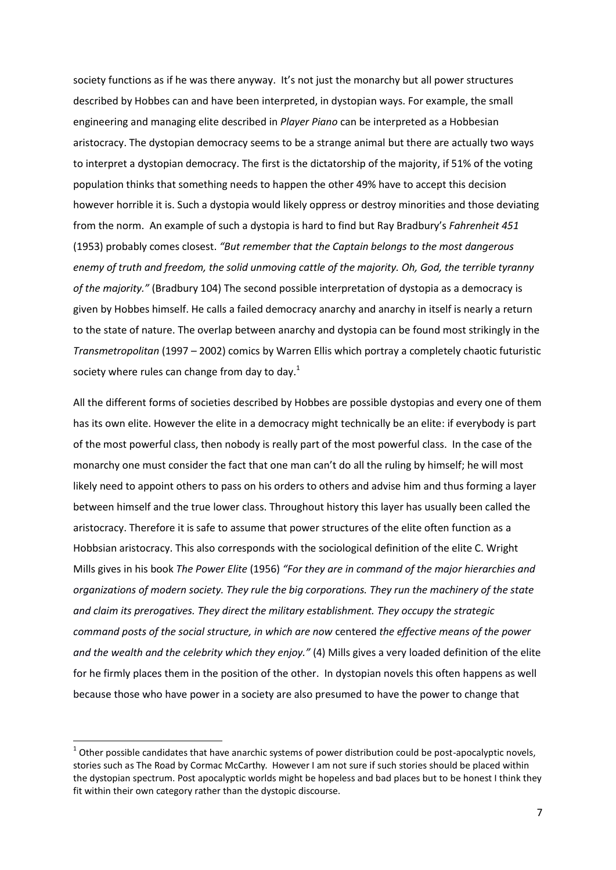society functions as if he was there anyway. It's not just the monarchy but all power structures described by Hobbes can and have been interpreted, in dystopian ways. For example, the small engineering and managing elite described in *Player Piano* can be interpreted as a Hobbesian aristocracy. The dystopian democracy seems to be a strange animal but there are actually two ways to interpret a dystopian democracy. The first is the dictatorship of the majority, if 51% of the voting population thinks that something needs to happen the other 49% have to accept this decision however horrible it is. Such a dystopia would likely oppress or destroy minorities and those deviating from the norm. An example of such a dystopia is hard to find but Ray Bradbury's *Fahrenheit 451* (1953) probably comes closest. *"But remember that the Captain belongs to the most dangerous enemy of truth and freedom, the solid unmoving cattle of the majority. Oh, God, the terrible tyranny of the majority."* (Bradbury 104) The second possible interpretation of dystopia as a democracy is given by Hobbes himself. He calls a failed democracy anarchy and anarchy in itself is nearly a return to the state of nature. The overlap between anarchy and dystopia can be found most strikingly in the *Transmetropolitan* (1997 – 2002) comics by Warren Ellis which portray a completely chaotic futuristic society where rules can change from day to day.<sup>1</sup>

All the different forms of societies described by Hobbes are possible dystopias and every one of them has its own elite. However the elite in a democracy might technically be an elite: if everybody is part of the most powerful class, then nobody is really part of the most powerful class. In the case of the monarchy one must consider the fact that one man can't do all the ruling by himself; he will most likely need to appoint others to pass on his orders to others and advise him and thus forming a layer between himself and the true lower class. Throughout history this layer has usually been called the aristocracy. Therefore it is safe to assume that power structures of the elite often function as a Hobbsian aristocracy. This also corresponds with the sociological definition of the elite C. Wright Mills gives in his book *The Power Elite* (1956) *"For they are in command of the major hierarchies and organizations of modern society. They rule the big corporations. They run the machinery of the state and claim its prerogatives. They direct the military establishment. They occupy the strategic command posts of the social structure, in which are now* centered *the effective means of the power and the wealth and the celebrity which they enjoy."* (4) Mills gives a very loaded definition of the elite for he firmly places them in the position of the other. In dystopian novels this often happens as well because those who have power in a society are also presumed to have the power to change that

1

 $1$  Other possible candidates that have anarchic systems of power distribution could be post-apocalyptic novels, stories such as The Road by Cormac McCarthy. However I am not sure if such stories should be placed within the dystopian spectrum. Post apocalyptic worlds might be hopeless and bad places but to be honest I think they fit within their own category rather than the dystopic discourse.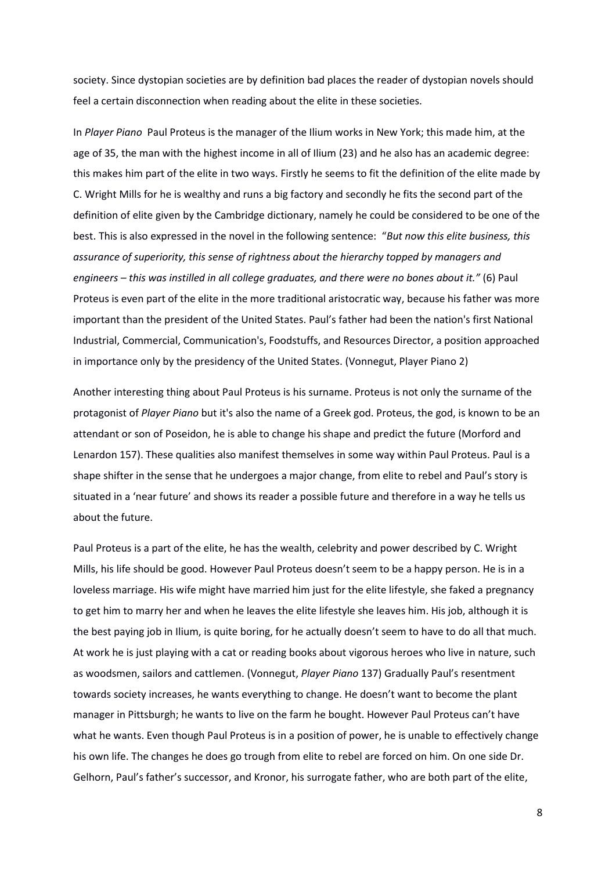society. Since dystopian societies are by definition bad places the reader of dystopian novels should feel a certain disconnection when reading about the elite in these societies.

In *Player Piano* Paul Proteus is the manager of the Ilium works in New York; this made him, at the age of 35, the man with the highest income in all of Ilium (23) and he also has an academic degree: this makes him part of the elite in two ways. Firstly he seems to fit the definition of the elite made by C. Wright Mills for he is wealthy and runs a big factory and secondly he fits the second part of the definition of elite given by the Cambridge dictionary, namely he could be considered to be one of the best. This is also expressed in the novel in the following sentence: "*But now this elite business, this assurance of superiority, this sense of rightness about the hierarchy topped by managers and engineers – this was instilled in all college graduates, and there were no bones about it."* (6) Paul Proteus is even part of the elite in the more traditional aristocratic way, because his father was more important than the president of the United States. Paul's father had been the nation's first National Industrial, Commercial, Communication's, Foodstuffs, and Resources Director, a position approached in importance only by the presidency of the United States. (Vonnegut, Player Piano 2)

Another interesting thing about Paul Proteus is his surname. Proteus is not only the surname of the protagonist of *Player Piano* but it's also the name of a Greek god. Proteus, the god, is known to be an attendant or son of Poseidon, he is able to change his shape and predict the future (Morford and Lenardon 157). These qualities also manifest themselves in some way within Paul Proteus. Paul is a shape shifter in the sense that he undergoes a major change, from elite to rebel and Paul's story is situated in a 'near future' and shows its reader a possible future and therefore in a way he tells us about the future.

Paul Proteus is a part of the elite, he has the wealth, celebrity and power described by C. Wright Mills, his life should be good. However Paul Proteus doesn't seem to be a happy person. He is in a loveless marriage. His wife might have married him just for the elite lifestyle, she faked a pregnancy to get him to marry her and when he leaves the elite lifestyle she leaves him. His job, although it is the best paying job in Ilium, is quite boring, for he actually doesn't seem to have to do all that much. At work he is just playing with a cat or reading books about vigorous heroes who live in nature, such as woodsmen, sailors and cattlemen. (Vonnegut, *Player Piano* 137) Gradually Paul's resentment towards society increases, he wants everything to change. He doesn't want to become the plant manager in Pittsburgh; he wants to live on the farm he bought. However Paul Proteus can't have what he wants. Even though Paul Proteus is in a position of power, he is unable to effectively change his own life. The changes he does go trough from elite to rebel are forced on him. On one side Dr. Gelhorn, Paul's father's successor, and Kronor, his surrogate father, who are both part of the elite,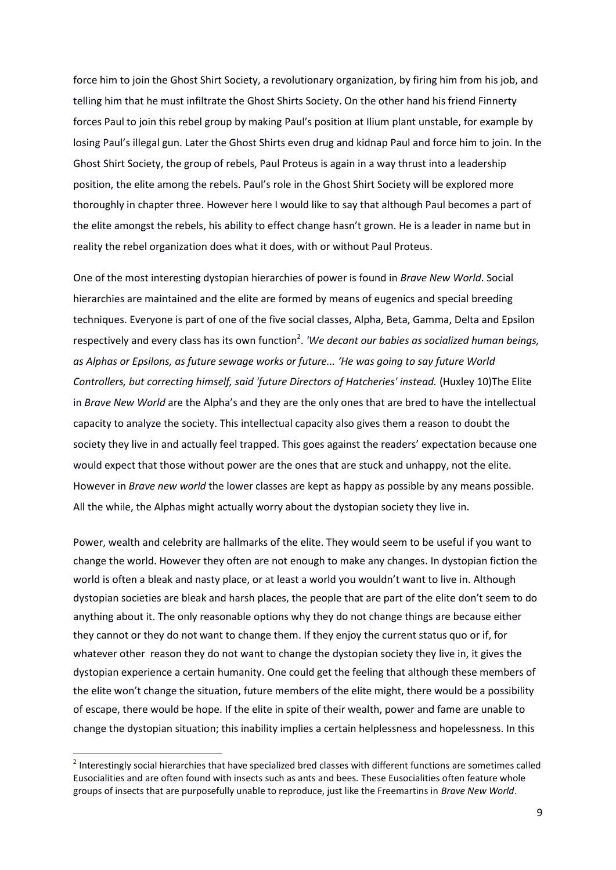force him to join the Ghost Shirt Society, a revolutionary organization, by firing him from his job, and telling him that he must infiltrate the Ghost Shirts Society. On the other hand his friend Finnerty forces Paul to join this rebel group by making Paul's position at Ilium plant unstable, for example by losing Paul's illegal gun. Later the Ghost Shirts even drug and kidnap Paul and force him to join. In the Ghost Shirt Society, the group of rebels, Paul Proteus is again in a way thrust into a leadership position, the elite among the rebels. Paul's role in the Ghost Shirt Society will be explored more thoroughly in chapter three. However here I would like to say that although Paul becomes a part of the elite amongst the rebels, his ability to effect change hasn't grown. He is a leader in name but in reality the rebel organization does what it does, with or without Paul Proteus.

One of the most interesting dystopian hierarchies of power is found in *Brave New World*. Social hierarchies are maintained and the elite are formed by means of eugenics and special breeding techniques. Everyone is part of one of the five social classes, Alpha, Beta, Gamma, Delta and Epsilon respectively and every class has its own function<sup>2</sup>. 'We decant our babies as socialized human beings, *as Alphas or Epsilons, as future sewage works or future... 'He was going to say future World Controllers, but correcting himself, said 'future Directors of Hatcheries' instead.* (Huxley 10)The Elite in *Brave New World* are the Alpha's and they are the only ones that are bred to have the intellectual capacity to analyze the society. This intellectual capacity also gives them a reason to doubt the society they live in and actually feel trapped. This goes against the readers' expectation because one would expect that those without power are the ones that are stuck and unhappy, not the elite. However in *Brave new world* the lower classes are kept as happy as possible by any means possible. All the while, the Alphas might actually worry about the dystopian society they live in.

Power, wealth and celebrity are hallmarks of the elite. They would seem to be useful if you want to change the world. However they often are not enough to make any changes. In dystopian fiction the world is often a bleak and nasty place, or at least a world you wouldn't want to live in. Although dystopian societies are bleak and harsh places, the people that are part of the elite don't seem to do anything about it. The only reasonable options why they do not change things are because either they cannot or they do not want to change them. If they enjoy the current status quo or if, for whatever other reason they do not want to change the dystopian society they live in, it gives the dystopian experience a certain humanity. One could get the feeling that although these members of the elite won't change the situation, future members of the elite might, there would be a possibility of escape, there would be hope. If the elite in spite of their wealth, power and fame are unable to change the dystopian situation; this inability implies a certain helplessness and hopelessness. In this

**.** 

 $^2$  Interestingly social hierarchies that have specialized bred classes with different functions are sometimes called Eusocialities and are often found with insects such as ants and bees. These Eusocialities often feature whole groups of insects that are purposefully unable to reproduce, just like the Freemartins in *Brave New World*.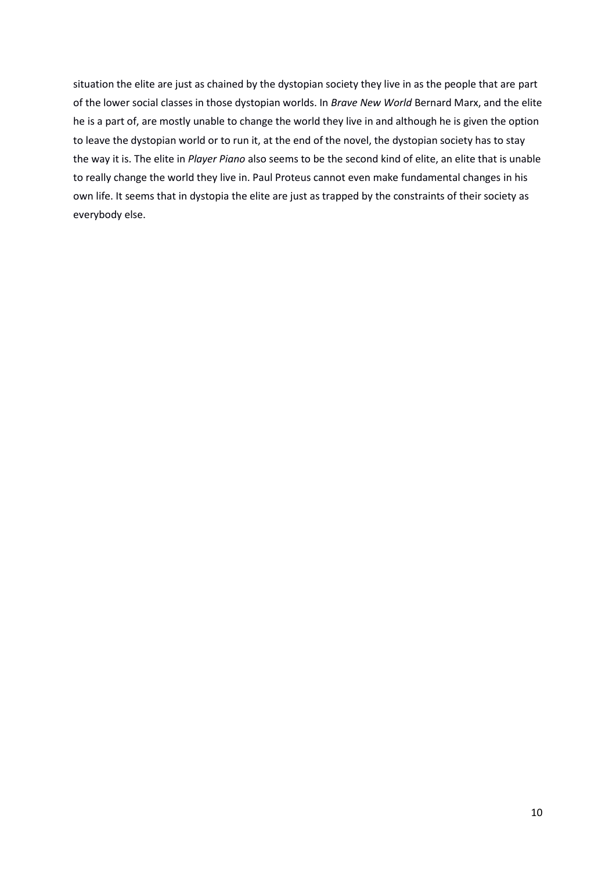situation the elite are just as chained by the dystopian society they live in as the people that are part of the lower social classes in those dystopian worlds. In *Brave New World* Bernard Marx, and the elite he is a part of, are mostly unable to change the world they live in and although he is given the option to leave the dystopian world or to run it, at the end of the novel, the dystopian society has to stay the way it is. The elite in *Player Piano* also seems to be the second kind of elite, an elite that is unable to really change the world they live in. Paul Proteus cannot even make fundamental changes in his own life. It seems that in dystopia the elite are just as trapped by the constraints of their society as everybody else.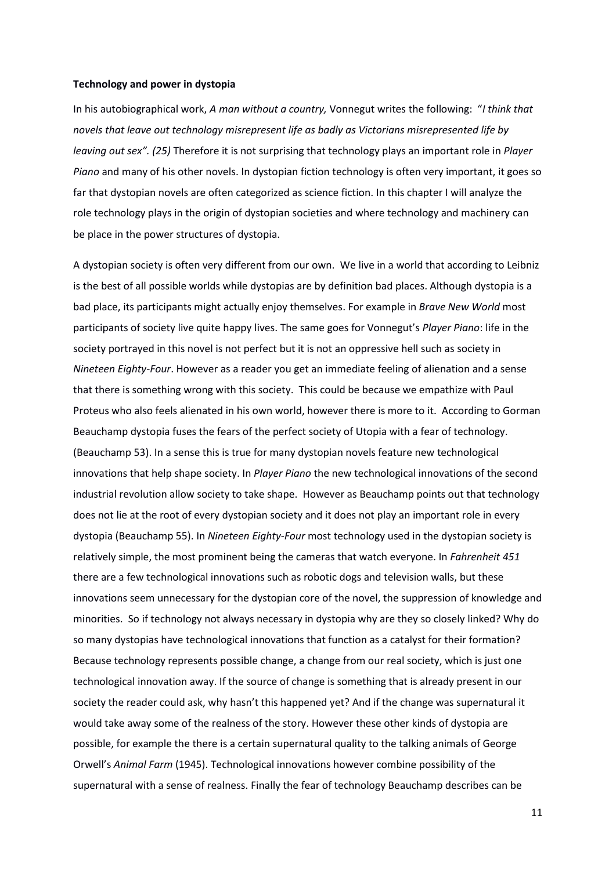#### **Technology and power in dystopia**

In his autobiographical work, *A man without a country,* Vonnegut writes the following: "*I think that novels that leave out technology misrepresent life as badly as Victorians misrepresented life by leaving out sex". (25)* Therefore it is not surprising that technology plays an important role in *Player Piano* and many of his other novels. In dystopian fiction technology is often very important, it goes so far that dystopian novels are often categorized as science fiction. In this chapter I will analyze the role technology plays in the origin of dystopian societies and where technology and machinery can be place in the power structures of dystopia.

A dystopian society is often very different from our own. We live in a world that according to Leibniz is the best of all possible worlds while dystopias are by definition bad places. Although dystopia is a bad place, its participants might actually enjoy themselves. For example in *Brave New World* most participants of society live quite happy lives. The same goes for Vonnegut's *Player Piano*: life in the society portrayed in this novel is not perfect but it is not an oppressive hell such as society in *Nineteen Eighty-Four*. However as a reader you get an immediate feeling of alienation and a sense that there is something wrong with this society. This could be because we empathize with Paul Proteus who also feels alienated in his own world, however there is more to it. According to Gorman Beauchamp dystopia fuses the fears of the perfect society of Utopia with a fear of technology. (Beauchamp 53). In a sense this is true for many dystopian novels feature new technological innovations that help shape society. In *Player Piano* the new technological innovations of the second industrial revolution allow society to take shape. However as Beauchamp points out that technology does not lie at the root of every dystopian society and it does not play an important role in every dystopia (Beauchamp 55). In *Nineteen Eighty-Four* most technology used in the dystopian society is relatively simple, the most prominent being the cameras that watch everyone. In *Fahrenheit 451* there are a few technological innovations such as robotic dogs and television walls, but these innovations seem unnecessary for the dystopian core of the novel, the suppression of knowledge and minorities. So if technology not always necessary in dystopia why are they so closely linked? Why do so many dystopias have technological innovations that function as a catalyst for their formation? Because technology represents possible change, a change from our real society, which is just one technological innovation away. If the source of change is something that is already present in our society the reader could ask, why hasn't this happened yet? And if the change was supernatural it would take away some of the realness of the story. However these other kinds of dystopia are possible, for example the there is a certain supernatural quality to the talking animals of George Orwell's *Animal Farm* (1945). Technological innovations however combine possibility of the supernatural with a sense of realness. Finally the fear of technology Beauchamp describes can be

11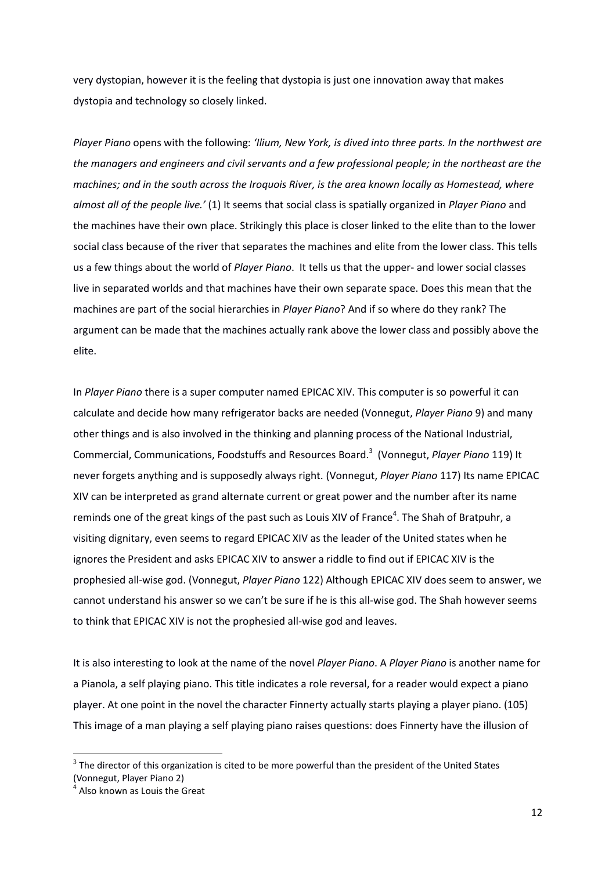very dystopian, however it is the feeling that dystopia is just one innovation away that makes dystopia and technology so closely linked.

*Player Piano* opens with the following: *'Ilium, New York, is dived into three parts. In the northwest are the managers and engineers and civil servants and a few professional people; in the northeast are the machines; and in the south across the Iroquois River, is the area known locally as Homestead, where almost all of the people live.'* (1) It seems that social class is spatially organized in *Player Piano* and the machines have their own place. Strikingly this place is closer linked to the elite than to the lower social class because of the river that separates the machines and elite from the lower class. This tells us a few things about the world of *Player Piano*. It tells us that the upper- and lower social classes live in separated worlds and that machines have their own separate space. Does this mean that the machines are part of the social hierarchies in *Player Piano*? And if so where do they rank? The argument can be made that the machines actually rank above the lower class and possibly above the elite.

In *Player Piano* there is a super computer named EPICAC XIV. This computer is so powerful it can calculate and decide how many refrigerator backs are needed (Vonnegut, *Player Piano* 9) and many other things and is also involved in the thinking and planning process of the National Industrial, Commercial, Communications, Foodstuffs and Resources Board.<sup>3</sup> (Vonnegut, *Player Piano* 119) It never forgets anything and is supposedly always right. (Vonnegut, *Player Piano* 117) Its name EPICAC XIV can be interpreted as grand alternate current or great power and the number after its name reminds one of the great kings of the past such as Louis XIV of France<sup>4</sup>. The Shah of Bratpuhr, a visiting dignitary, even seems to regard EPICAC XIV as the leader of the United states when he ignores the President and asks EPICAC XIV to answer a riddle to find out if EPICAC XIV is the prophesied all-wise god. (Vonnegut, *Player Piano* 122) Although EPICAC XIV does seem to answer, we cannot understand his answer so we can't be sure if he is this all-wise god. The Shah however seems to think that EPICAC XIV is not the prophesied all-wise god and leaves.

It is also interesting to look at the name of the novel *Player Piano*. A *Player Piano* is another name for a Pianola, a self playing piano. This title indicates a role reversal, for a reader would expect a piano player. At one point in the novel the character Finnerty actually starts playing a player piano. (105) This image of a man playing a self playing piano raises questions: does Finnerty have the illusion of

**.** 

 $3$  The director of this organization is cited to be more powerful than the president of the United States (Vonnegut, Player Piano 2)

<sup>4</sup> Also known as Louis the Great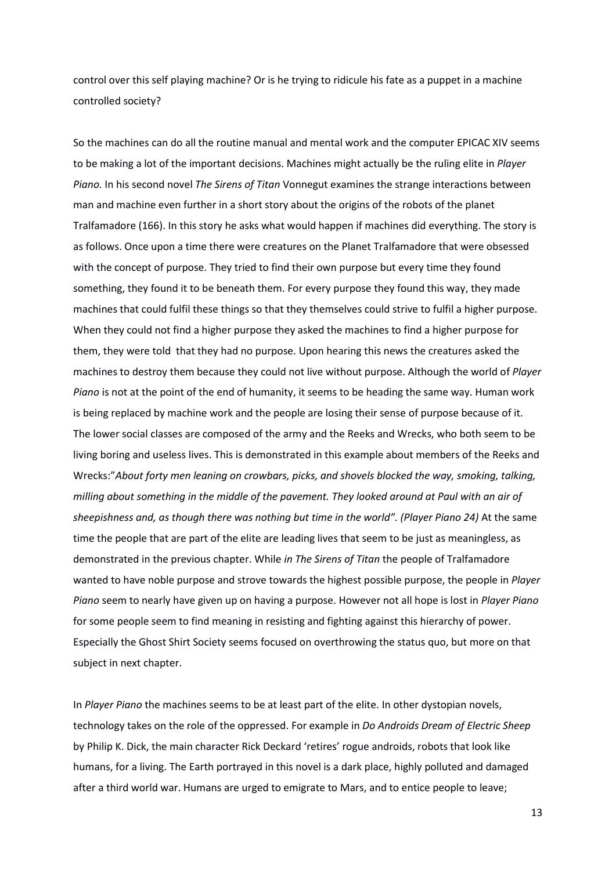control over this self playing machine? Or is he trying to ridicule his fate as a puppet in a machine controlled society?

So the machines can do all the routine manual and mental work and the computer EPICAC XIV seems to be making a lot of the important decisions. Machines might actually be the ruling elite in *Player Piano.* In his second novel *The Sirens of Titan* Vonnegut examines the strange interactions between man and machine even further in a short story about the origins of the robots of the planet Tralfamadore (166). In this story he asks what would happen if machines did everything. The story is as follows. Once upon a time there were creatures on the Planet Tralfamadore that were obsessed with the concept of purpose. They tried to find their own purpose but every time they found something, they found it to be beneath them. For every purpose they found this way, they made machines that could fulfil these things so that they themselves could strive to fulfil a higher purpose. When they could not find a higher purpose they asked the machines to find a higher purpose for them, they were told that they had no purpose. Upon hearing this news the creatures asked the machines to destroy them because they could not live without purpose. Although the world of *Player Piano* is not at the point of the end of humanity, it seems to be heading the same way. Human work is being replaced by machine work and the people are losing their sense of purpose because of it. The lower social classes are composed of the army and the Reeks and Wrecks, who both seem to be living boring and useless lives. This is demonstrated in this example about members of the Reeks and Wrecks:"*About forty men leaning on crowbars, picks, and shovels blocked the way, smoking, talking, milling about something in the middle of the pavement. They looked around at Paul with an air of sheepishness and, as though there was nothing but time in the world". (Player Piano 24)* At the same time the people that are part of the elite are leading lives that seem to be just as meaningless, as demonstrated in the previous chapter. While *in The Sirens of Titan* the people of Tralfamadore wanted to have noble purpose and strove towards the highest possible purpose, the people in *Player Piano* seem to nearly have given up on having a purpose. However not all hope is lost in *Player Piano* for some people seem to find meaning in resisting and fighting against this hierarchy of power. Especially the Ghost Shirt Society seems focused on overthrowing the status quo, but more on that subject in next chapter.

In *Player Piano* the machines seems to be at least part of the elite. In other dystopian novels, technology takes on the role of the oppressed. For example in *Do Androids Dream of Electric Sheep* by Philip K. Dick, the main character Rick Deckard 'retires' rogue androids, robots that look like humans, for a living. The Earth portrayed in this novel is a dark place, highly polluted and damaged after a third world war. Humans are urged to emigrate to Mars, and to entice people to leave;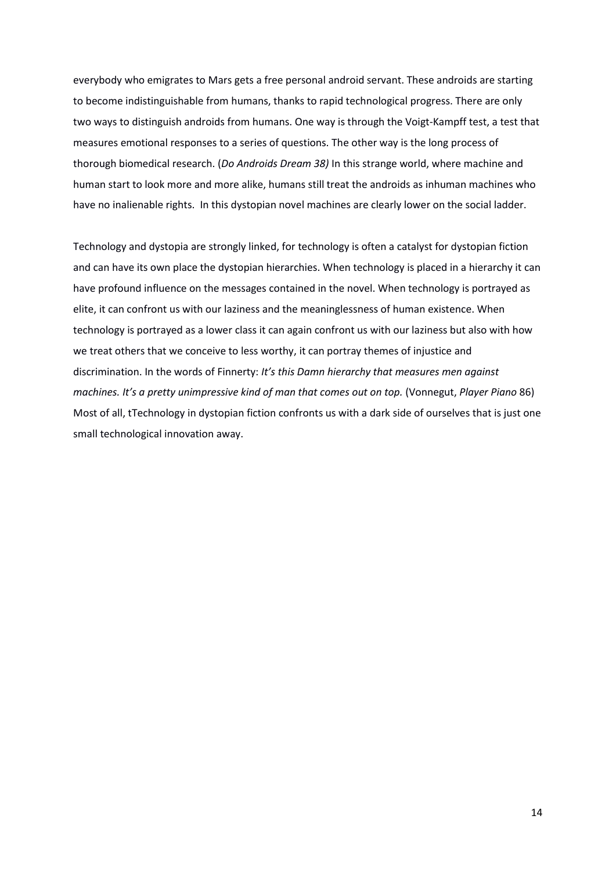everybody who emigrates to Mars gets a free personal android servant. These androids are starting to become indistinguishable from humans, thanks to rapid technological progress. There are only two ways to distinguish androids from humans. One way is through the Voigt-Kampff test, a test that measures emotional responses to a series of questions. The other way is the long process of thorough biomedical research. (*Do Androids Dream 38)* In this strange world, where machine and human start to look more and more alike, humans still treat the androids as inhuman machines who have no inalienable rights. In this dystopian novel machines are clearly lower on the social ladder.

Technology and dystopia are strongly linked, for technology is often a catalyst for dystopian fiction and can have its own place the dystopian hierarchies. When technology is placed in a hierarchy it can have profound influence on the messages contained in the novel. When technology is portrayed as elite, it can confront us with our laziness and the meaninglessness of human existence. When technology is portrayed as a lower class it can again confront us with our laziness but also with how we treat others that we conceive to less worthy, it can portray themes of injustice and discrimination. In the words of Finnerty: *It's this Damn hierarchy that measures men against machines. It's a pretty unimpressive kind of man that comes out on top.* (Vonnegut, *Player Piano* 86) Most of all, tTechnology in dystopian fiction confronts us with a dark side of ourselves that is just one small technological innovation away.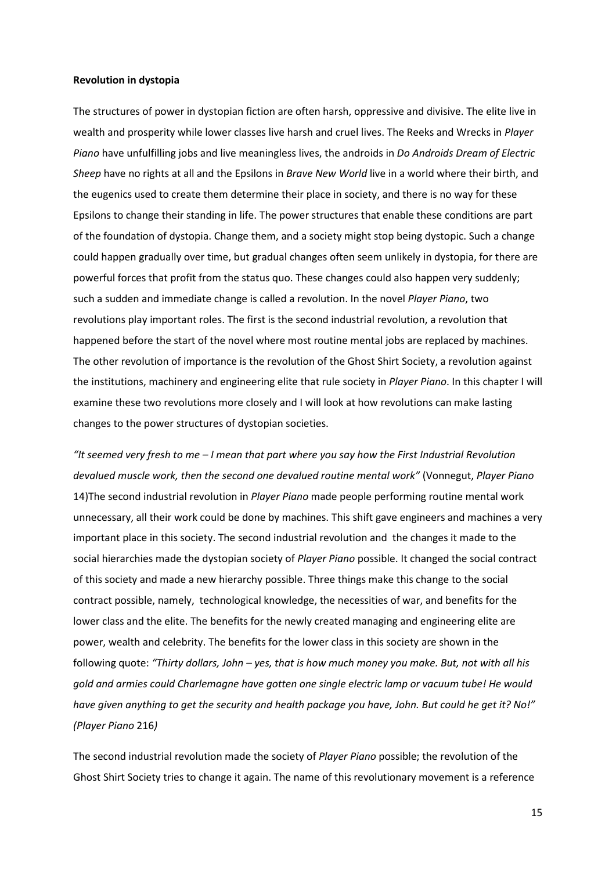# **Revolution in dystopia**

The structures of power in dystopian fiction are often harsh, oppressive and divisive. The elite live in wealth and prosperity while lower classes live harsh and cruel lives. The Reeks and Wrecks in *Player Piano* have unfulfilling jobs and live meaningless lives, the androids in *Do Androids Dream of Electric Sheep* have no rights at all and the Epsilons in *Brave New World* live in a world where their birth, and the eugenics used to create them determine their place in society, and there is no way for these Epsilons to change their standing in life. The power structures that enable these conditions are part of the foundation of dystopia. Change them, and a society might stop being dystopic. Such a change could happen gradually over time, but gradual changes often seem unlikely in dystopia, for there are powerful forces that profit from the status quo. These changes could also happen very suddenly; such a sudden and immediate change is called a revolution. In the novel *Player Piano*, two revolutions play important roles. The first is the second industrial revolution, a revolution that happened before the start of the novel where most routine mental jobs are replaced by machines. The other revolution of importance is the revolution of the Ghost Shirt Society, a revolution against the institutions, machinery and engineering elite that rule society in *Player Piano*. In this chapter I will examine these two revolutions more closely and I will look at how revolutions can make lasting changes to the power structures of dystopian societies.

*"It seemed very fresh to me – I mean that part where you say how the First Industrial Revolution devalued muscle work, then the second one devalued routine mental work"* (Vonnegut, *Player Piano* 14)The second industrial revolution in *Player Piano* made people performing routine mental work unnecessary, all their work could be done by machines. This shift gave engineers and machines a very important place in this society. The second industrial revolution and the changes it made to the social hierarchies made the dystopian society of *Player Piano* possible. It changed the social contract of this society and made a new hierarchy possible. Three things make this change to the social contract possible, namely, technological knowledge, the necessities of war, and benefits for the lower class and the elite. The benefits for the newly created managing and engineering elite are power, wealth and celebrity. The benefits for the lower class in this society are shown in the following quote: *"Thirty dollars, John – yes, that is how much money you make. But, not with all his gold and armies could Charlemagne have gotten one single electric lamp or vacuum tube! He would have given anything to get the security and health package you have, John. But could he get it? No!" (Player Piano* 216*)*

The second industrial revolution made the society of *Player Piano* possible; the revolution of the Ghost Shirt Society tries to change it again. The name of this revolutionary movement is a reference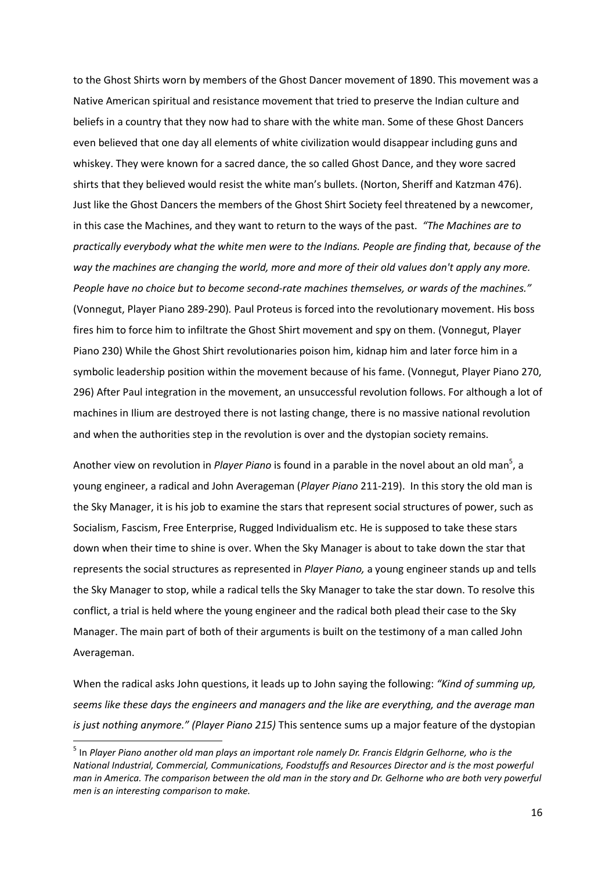to the Ghost Shirts worn by members of the Ghost Dancer movement of 1890. This movement was a Native American spiritual and resistance movement that tried to preserve the Indian culture and beliefs in a country that they now had to share with the white man. Some of these Ghost Dancers even believed that one day all elements of white civilization would disappear including guns and whiskey. They were known for a sacred dance, the so called Ghost Dance, and they wore sacred shirts that they believed would resist the white man's bullets. (Norton, Sheriff and Katzman 476). Just like the Ghost Dancers the members of the Ghost Shirt Society feel threatened by a newcomer, in this case the Machines, and they want to return to the ways of the past. *"The Machines are to practically everybody what the white men were to the Indians. People are finding that, because of the way the machines are changing the world, more and more of their old values don't apply any more. People have no choice but to become second-rate machines themselves, or wards of the machines."*  (Vonnegut, Player Piano 289-290)*.* Paul Proteus is forced into the revolutionary movement. His boss fires him to force him to infiltrate the Ghost Shirt movement and spy on them. (Vonnegut, Player Piano 230) While the Ghost Shirt revolutionaries poison him, kidnap him and later force him in a symbolic leadership position within the movement because of his fame. (Vonnegut, Player Piano 270, 296) After Paul integration in the movement, an unsuccessful revolution follows. For although a lot of machines in Ilium are destroyed there is not lasting change, there is no massive national revolution and when the authorities step in the revolution is over and the dystopian society remains.

Another view on revolution in *Player Piano* is found in a parable in the novel about an old man<sup>5</sup>, a young engineer, a radical and John Averageman (*Player Piano* 211-219). In this story the old man is the Sky Manager, it is his job to examine the stars that represent social structures of power, such as Socialism, Fascism, Free Enterprise, Rugged Individualism etc. He is supposed to take these stars down when their time to shine is over. When the Sky Manager is about to take down the star that represents the social structures as represented in *Player Piano,* a young engineer stands up and tells the Sky Manager to stop, while a radical tells the Sky Manager to take the star down. To resolve this conflict, a trial is held where the young engineer and the radical both plead their case to the Sky Manager. The main part of both of their arguments is built on the testimony of a man called John Averageman.

When the radical asks John questions, it leads up to John saying the following: *"Kind of summing up, seems like these days the engineers and managers and the like are everything, and the average man is just nothing anymore." (Player Piano 215)* This sentence sums up a major feature of the dystopian

1

<sup>5</sup> In *Player Piano another old man plays an important role namely Dr. Francis Eldgrin Gelhorne, who is the National Industrial, Commercial, Communications, Foodstuffs and Resources Director and is the most powerful man in America. The comparison between the old man in the story and Dr. Gelhorne who are both very powerful men is an interesting comparison to make.*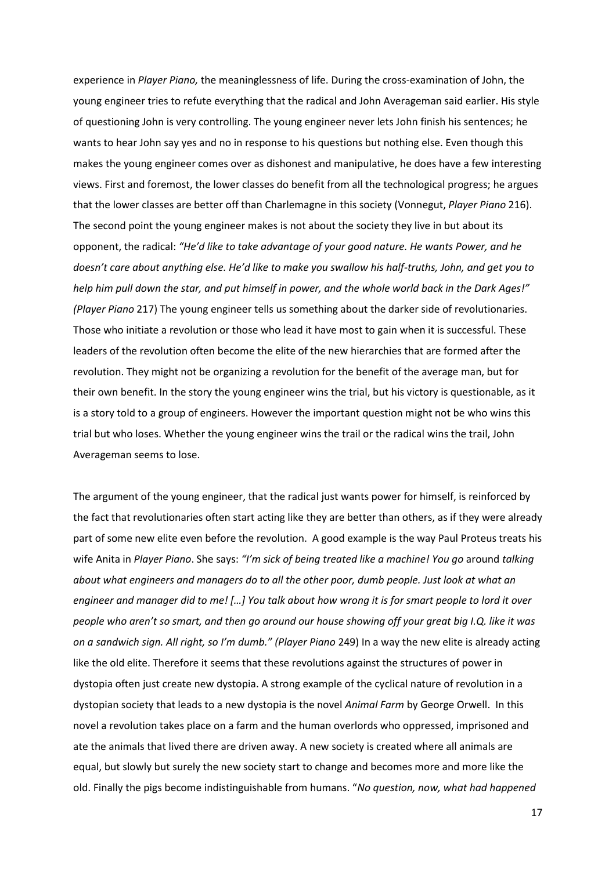experience in *Player Piano,* the meaninglessness of life. During the cross-examination of John, the young engineer tries to refute everything that the radical and John Averageman said earlier. His style of questioning John is very controlling. The young engineer never lets John finish his sentences; he wants to hear John say yes and no in response to his questions but nothing else. Even though this makes the young engineer comes over as dishonest and manipulative, he does have a few interesting views. First and foremost, the lower classes do benefit from all the technological progress; he argues that the lower classes are better off than Charlemagne in this society (Vonnegut, *Player Piano* 216). The second point the young engineer makes is not about the society they live in but about its opponent, the radical: *"He'd like to take advantage of your good nature. He wants Power, and he doesn't care about anything else. He'd like to make you swallow his half-truths, John, and get you to help him pull down the star, and put himself in power, and the whole world back in the Dark Ages!" (Player Piano* 217) The young engineer tells us something about the darker side of revolutionaries. Those who initiate a revolution or those who lead it have most to gain when it is successful. These leaders of the revolution often become the elite of the new hierarchies that are formed after the revolution. They might not be organizing a revolution for the benefit of the average man, but for their own benefit. In the story the young engineer wins the trial, but his victory is questionable, as it is a story told to a group of engineers. However the important question might not be who wins this trial but who loses. Whether the young engineer wins the trail or the radical wins the trail, John Averageman seems to lose.

The argument of the young engineer, that the radical just wants power for himself, is reinforced by the fact that revolutionaries often start acting like they are better than others, as if they were already part of some new elite even before the revolution. A good example is the way Paul Proteus treats his wife Anita in *Player Piano*. She says: *"I'm sick of being treated like a machine! You go* around *talking about what engineers and managers do to all the other poor, dumb people. Just look at what an engineer and manager did to me! […] You talk about how wrong it is for smart people to lord it over people who aren't so smart, and then go around our house showing off your great big I.Q. like it was on a sandwich sign. All right, so I'm dumb." (Player Piano* 249) In a way the new elite is already acting like the old elite. Therefore it seems that these revolutions against the structures of power in dystopia often just create new dystopia. A strong example of the cyclical nature of revolution in a dystopian society that leads to a new dystopia is the novel *Animal Farm* by George Orwell. In this novel a revolution takes place on a farm and the human overlords who oppressed, imprisoned and ate the animals that lived there are driven away. A new society is created where all animals are equal, but slowly but surely the new society start to change and becomes more and more like the old. Finally the pigs become indistinguishable from humans. "*No question, now, what had happened*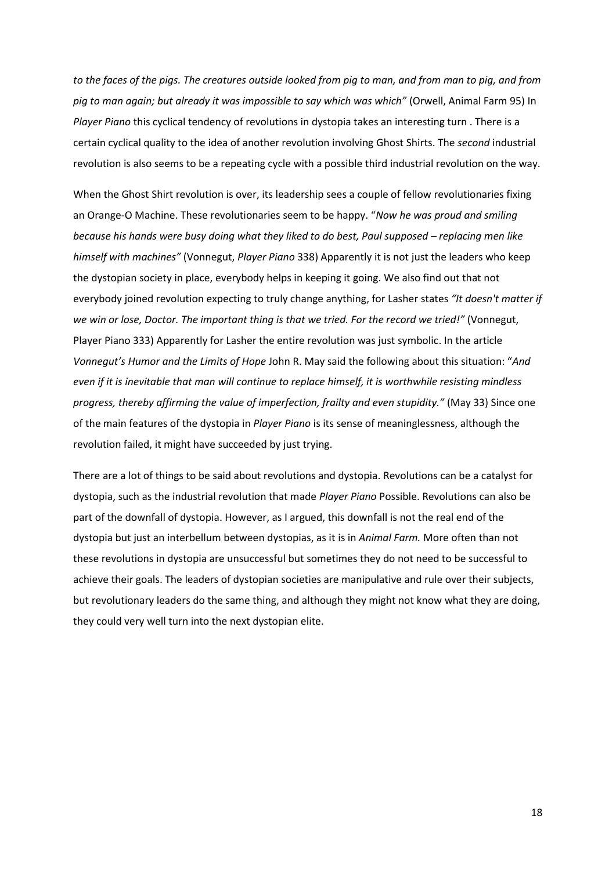*to the faces of the pigs. The creatures outside looked from pig to man, and from man to pig, and from pig to man again; but already it was impossible to say which was which"* (Orwell, Animal Farm 95) In *Player Piano* this cyclical tendency of revolutions in dystopia takes an interesting turn . There is a certain cyclical quality to the idea of another revolution involving Ghost Shirts. The *second* industrial revolution is also seems to be a repeating cycle with a possible third industrial revolution on the way.

When the Ghost Shirt revolution is over, its leadership sees a couple of fellow revolutionaries fixing an Orange-O Machine. These revolutionaries seem to be happy. "*Now he was proud and smiling because his hands were busy doing what they liked to do best, Paul supposed - replacing men like himself with machines"* (Vonnegut, *Player Piano* 338) Apparently it is not just the leaders who keep the dystopian society in place, everybody helps in keeping it going. We also find out that not everybody joined revolution expecting to truly change anything, for Lasher states *"It doesn't matter if we win or lose, Doctor. The important thing is that we tried. For the record we tried!"* (Vonnegut, Player Piano 333) Apparently for Lasher the entire revolution was just symbolic. In the article *Vonnegut's Humor and the Limits of Hope* John R. May said the following about this situation: "*And even if it is inevitable that man will continue to replace himself, it is worthwhile resisting mindless progress, thereby affirming the value of imperfection, frailty and even stupidity."* (May 33) Since one of the main features of the dystopia in *Player Piano* is its sense of meaninglessness, although the revolution failed, it might have succeeded by just trying.

There are a lot of things to be said about revolutions and dystopia. Revolutions can be a catalyst for dystopia, such as the industrial revolution that made *Player Piano* Possible. Revolutions can also be part of the downfall of dystopia. However, as I argued, this downfall is not the real end of the dystopia but just an interbellum between dystopias, as it is in *Animal Farm.* More often than not these revolutions in dystopia are unsuccessful but sometimes they do not need to be successful to achieve their goals. The leaders of dystopian societies are manipulative and rule over their subjects, but revolutionary leaders do the same thing, and although they might not know what they are doing, they could very well turn into the next dystopian elite.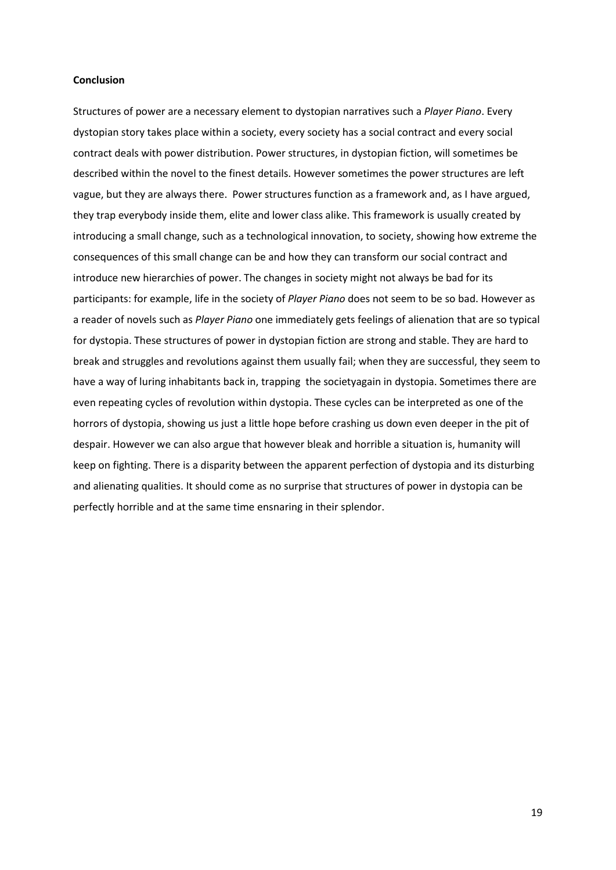# **Conclusion**

Structures of power are a necessary element to dystopian narratives such a *Player Piano*. Every dystopian story takes place within a society, every society has a social contract and every social contract deals with power distribution. Power structures, in dystopian fiction, will sometimes be described within the novel to the finest details. However sometimes the power structures are left vague, but they are always there. Power structures function as a framework and, as I have argued, they trap everybody inside them, elite and lower class alike. This framework is usually created by introducing a small change, such as a technological innovation, to society, showing how extreme the consequences of this small change can be and how they can transform our social contract and introduce new hierarchies of power. The changes in society might not always be bad for its participants: for example, life in the society of *Player Piano* does not seem to be so bad. However as a reader of novels such as *Player Piano* one immediately gets feelings of alienation that are so typical for dystopia. These structures of power in dystopian fiction are strong and stable. They are hard to break and struggles and revolutions against them usually fail; when they are successful, they seem to have a way of luring inhabitants back in, trapping the societyagain in dystopia. Sometimes there are even repeating cycles of revolution within dystopia. These cycles can be interpreted as one of the horrors of dystopia, showing us just a little hope before crashing us down even deeper in the pit of despair. However we can also argue that however bleak and horrible a situation is, humanity will keep on fighting. There is a disparity between the apparent perfection of dystopia and its disturbing and alienating qualities. It should come as no surprise that structures of power in dystopia can be perfectly horrible and at the same time ensnaring in their splendor.